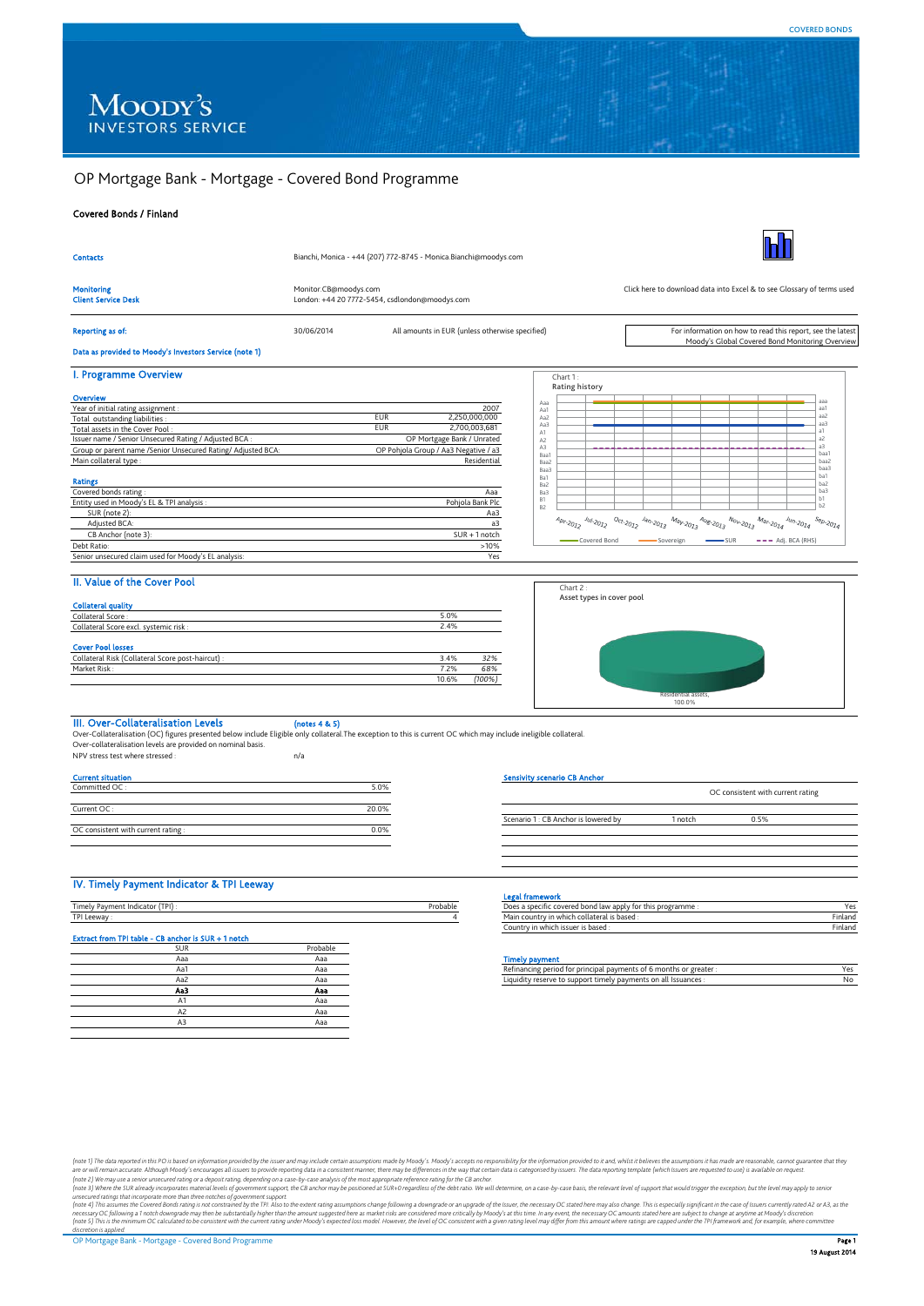# OP Mortgage Bank - Mortgage - Covered Bond Programme

## Covered Bonds / Finland

| <b>Contacts</b>                                                            | Bianchi, Monica - +44 (207) 772-8745 - Monica.Bianchi@moodys.com |                                                 |                                      |                       |                            |  |                                                                                                               |                                                                        |  |  |  |                |  |
|----------------------------------------------------------------------------|------------------------------------------------------------------|-------------------------------------------------|--------------------------------------|-----------------------|----------------------------|--|---------------------------------------------------------------------------------------------------------------|------------------------------------------------------------------------|--|--|--|----------------|--|
| <b>Monitoring</b><br><b>Client Service Desk</b>                            | Monitor.CB@moodys.com                                            | London: +44 20 7772-5454, csdlondon@moodys.com  |                                      |                       |                            |  |                                                                                                               | Click here to download data into Excel & to see Glossary of terms used |  |  |  |                |  |
| Reporting as of:<br>Data as provided to Moody's Investors Service (note 1) | 30/06/2014                                                       | All amounts in EUR (unless otherwise specified) |                                      |                       |                            |  | For information on how to read this report, see the latest<br>Moody's Global Covered Bond Monitoring Overview |                                                                        |  |  |  |                |  |
|                                                                            |                                                                  |                                                 |                                      |                       |                            |  |                                                                                                               |                                                                        |  |  |  |                |  |
| I. Programme Overview                                                      |                                                                  |                                                 |                                      |                       | Chart 1:<br>Rating history |  |                                                                                                               |                                                                        |  |  |  |                |  |
| Overview                                                                   |                                                                  |                                                 |                                      |                       |                            |  |                                                                                                               |                                                                        |  |  |  | aaa            |  |
| Year of initial rating assignment :                                        |                                                                  |                                                 | 2007                                 | Aaa<br>Aa1            |                            |  |                                                                                                               |                                                                        |  |  |  | aa1            |  |
| Total outstanding liabilities :                                            | <b>EUR</b>                                                       |                                                 | 2,250,000,000                        | Aa2                   |                            |  |                                                                                                               |                                                                        |  |  |  | aa2<br>aa3     |  |
| Total assets in the Cover Pool:                                            | <b>EUR</b>                                                       |                                                 | 2,700,003,681                        | Aa3<br>A <sub>1</sub> |                            |  |                                                                                                               |                                                                        |  |  |  | aí             |  |
| Issuer name / Senior Unsecured Rating / Adjusted BCA:                      |                                                                  |                                                 | OP Mortgage Bank / Unrated           | A <sub>2</sub>        |                            |  |                                                                                                               |                                                                        |  |  |  | a <sup>2</sup> |  |
| Group or parent name /Senior Unsecured Rating/ Adjusted BCA:               |                                                                  |                                                 | OP Pohjola Group / Aa3 Negative / a3 | A3<br>Baa1            |                            |  |                                                                                                               |                                                                        |  |  |  | аŦ<br>baa1     |  |
| Main collateral type:                                                      |                                                                  |                                                 | Residential                          | Baa2                  |                            |  |                                                                                                               |                                                                        |  |  |  | haa2           |  |

#### Ratings

| <b>NGUHIK</b> S                                      |                  |
|------------------------------------------------------|------------------|
| Covered bonds rating:                                | Aaa              |
| Entity used in Moody's EL & TPI analysis :           | Pohiola Bank Plc |
| SUR (note 2):                                        | Aa3              |
| Adiusted BCA:                                        | a3               |
| CB Anchor (note 3):                                  | $SUR + 1$ notch  |
| Debt Ratio:                                          | >10%             |
| Senior unsecured claim used for Moody's EL analysis: | Yes              |
|                                                      |                  |



## II. Value of the Cover Pool

| <u>II. VOLUC VI LIIC COVEI FOOL</u>               |       |        |
|---------------------------------------------------|-------|--------|
| <b>Collateral quality</b>                         |       |        |
| Collateral Score:                                 | 5.0%  |        |
| Collateral Score excl. systemic risk :            | 2.4%  |        |
| <b>Cover Pool losses</b>                          |       |        |
| Collateral Risk (Collateral Score post-haircut) : | 3.4%  | 32%    |
| Market Risk:                                      | 7.2%  | 68%    |
|                                                   | 10.6% | (100%) |



III. Over-Collateralisation Levels (notes 4 & 5)<br>Over-Collateralisation (OC) figures presented below include Eligible only collateral.The exception to this is current OC which may include ineligible collateral.<br>Over-collat

NPV stress test where stressed : n/a

| <b>Current situation</b>            |       |
|-------------------------------------|-------|
| Committed OC:                       | 5.0%  |
| Current OC:                         | 20.0% |
| OC consistent with current rating : | 0.0%  |

#### io CB An

| Scenario 1: CB Anchor is lowered by<br>1 notch<br>0.5% |  | OC consistent with current rating |  |
|--------------------------------------------------------|--|-----------------------------------|--|
|                                                        |  |                                   |  |
|                                                        |  |                                   |  |

## IV. Timely Payment Indicator & TPI Leeway

|                                                     |          |          | <u>--and the companies of the companies of the companies of the companies of the companies of the companies of the companies of the companies of the companies of the companies of the companies of the companies of the compani</u> |
|-----------------------------------------------------|----------|----------|--------------------------------------------------------------------------------------------------------------------------------------------------------------------------------------------------------------------------------------|
| Timely Payment Indicator (TPI) :                    |          | Probable | Does a specific co                                                                                                                                                                                                                   |
| TPI Leeway:                                         |          |          | Main country in                                                                                                                                                                                                                      |
|                                                     |          |          | Country in which                                                                                                                                                                                                                     |
| Extract from TPI table - CB anchor is SUR + 1 notch |          |          |                                                                                                                                                                                                                                      |
| <b>SUR</b>                                          | Probable |          |                                                                                                                                                                                                                                      |
| Aaa                                                 | Aaa      |          | <b>Timely payment</b>                                                                                                                                                                                                                |
| Aa1                                                 | Aaa      |          | Refinancing perio                                                                                                                                                                                                                    |
| Aa2                                                 | Aaa      |          | Liquidity reserve                                                                                                                                                                                                                    |
| Aa3                                                 | Aaa      |          |                                                                                                                                                                                                                                      |
| A1                                                  | Aaa      |          |                                                                                                                                                                                                                                      |
| A2                                                  | Aaa      |          |                                                                                                                                                                                                                                      |
| A3                                                  | Aaa      |          |                                                                                                                                                                                                                                      |
|                                                     |          |          |                                                                                                                                                                                                                                      |

| IV. Timely Payment Indicator & TPI Leeway           |          |          |                                                                    |         |
|-----------------------------------------------------|----------|----------|--------------------------------------------------------------------|---------|
|                                                     |          |          | <b>Legal framework</b>                                             |         |
| Timely Payment Indicator (TPI):                     |          | Probable | Does a specific covered bond law apply for this programme :        | Yes     |
| TPI Leeway:                                         |          |          | Main country in which collateral is based :                        | Finland |
|                                                     |          |          | Country in which issuer is based:                                  | Finland |
| Extract from TPI table - CB anchor is SUR + 1 notch |          |          |                                                                    |         |
| SUR                                                 | Probable |          |                                                                    |         |
| Aaa                                                 | Aaa      |          | <b>Timely payment</b>                                              |         |
| Aa1                                                 | Ааа      |          | Refinancing period for principal payments of 6 months or greater : | Yes     |
| Aa2                                                 | Aaa      |          | Liquidity reserve to support timely payments on all Issuances :    | No      |

(note of ) The data reported in this PO is based on information provide by breister and may include by the site any plonof in assumptions made by Mody's sccepts on evapthility of the information ending considers in the way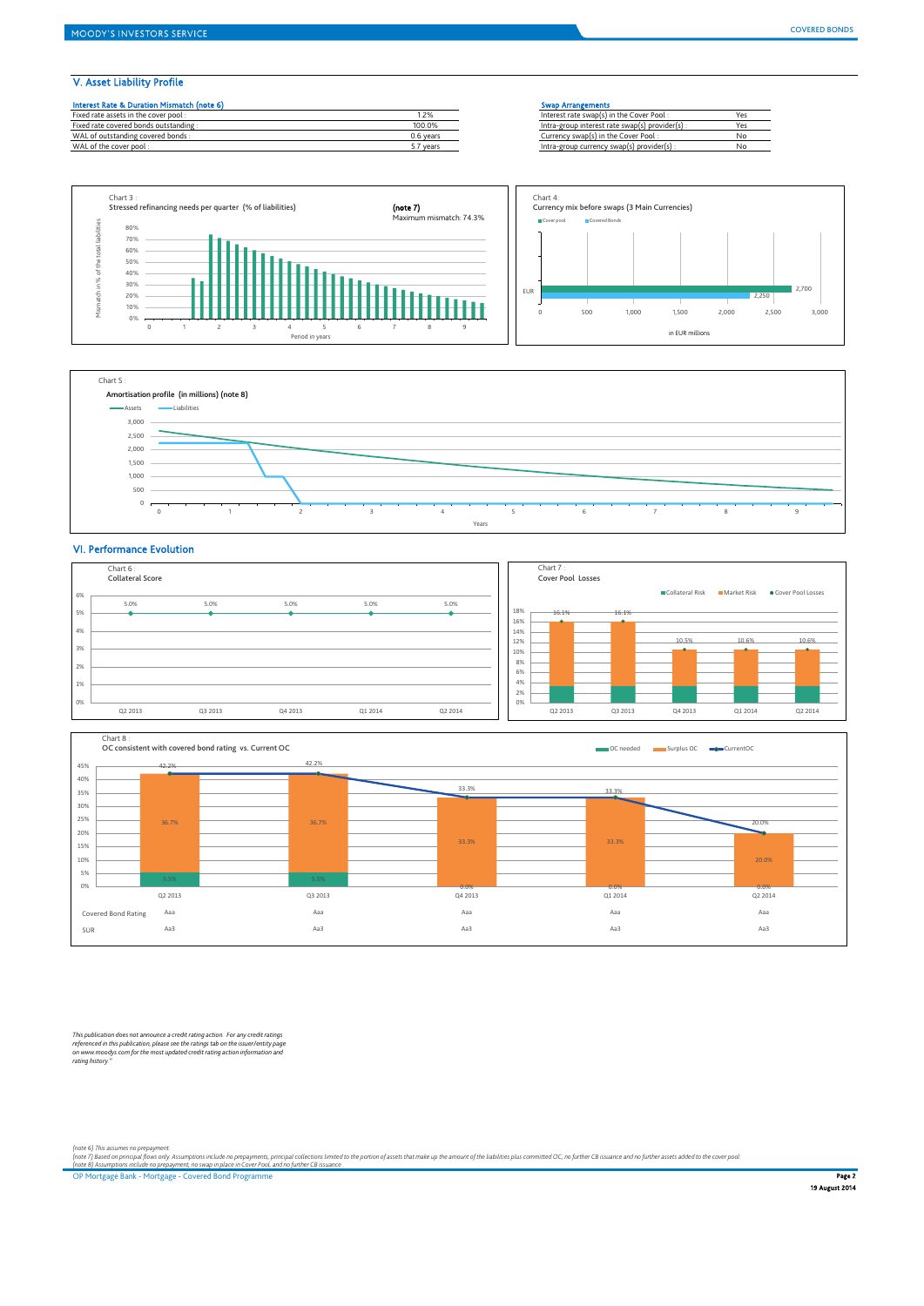## V. Asset Liability Profile

| Interest Rate & Duration Mismatch (note 6) |           | <b>Swap Arrangements</b>                        |     |
|--------------------------------------------|-----------|-------------------------------------------------|-----|
| Fixed rate assets in the cover pool:       | .2%       | Interest rate swap(s) in the Cover Pool:        | Y۴  |
| Fixed rate covered bonds outstanding:      | 100.0%    | Intra-group interest rate swap(s) provider(s) : | Yes |
| WAL of outstanding covered bonds:          | 0.6 years | Currency swap(s) in the Cover Pool:             | No  |
| WAL of the cover pool:                     | 5.7 years | Intra-group currency swap(s) provider(s) :      | No  |

Intra-group currency swap(s) provider(s)





## VI. Performance Evolution





This publication does not announce a credit rating action. For any credit ratings<br>referenced in this publication, please see the ratings tab on the issuer/entity page<br>on www.moodys.com for the most updated credit rating ac

(note 6) This assumes no prepayment.<br>(note 7) Based on principal flows only. Assumptions include no prepayments, principal collections limited to the portion of assets that make up the amount of the liabilities plus commit

OP Mortgage Bank - Mortgage - Covered Bond Programme **Page 2 Access 2006 Page 2 Access 2006 Page 2** Page 2 Access 2007 Page 2 Page 2 Access 2007 Page 2 Page 2 Page 2 Page 2 Page 2 Page 2 Page 2 Page 2 Page 2 Page 2 Page 2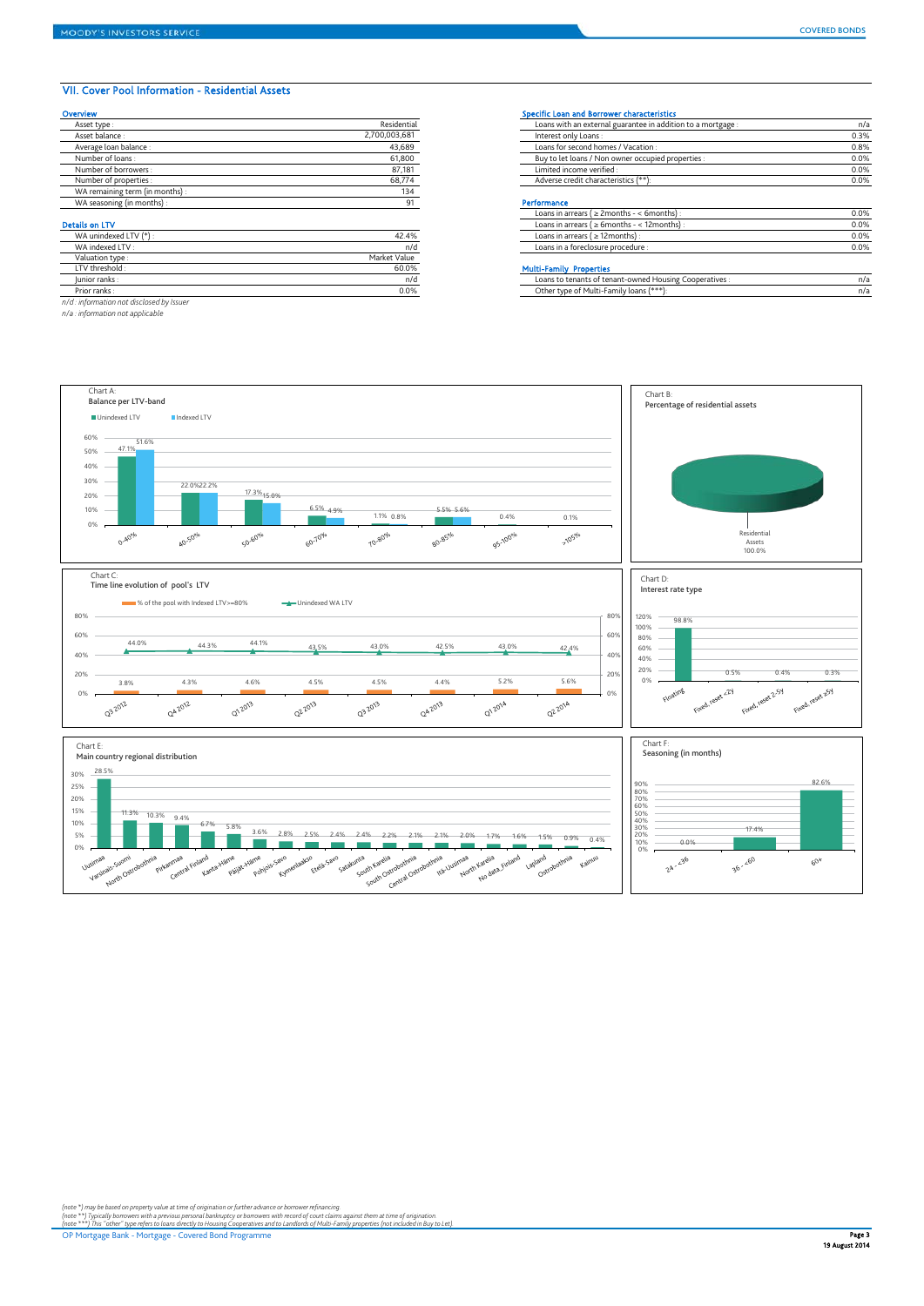*n/d : information not disclosed by Issuer n/a : information not applicable*

### VII. Cover Pool Information - Residential Assets

| Overview                        |               | Specific Loan and Borrower characteristics                   |              |
|---------------------------------|---------------|--------------------------------------------------------------|--------------|
| Asset type:                     | Residential   | Loans with an external guarantee in addition to a mortgage : | $n/\epsilon$ |
| Asset balance:                  | 2.700.003.681 | Interest only Loans:                                         | 0.3%         |
| Average loan balance :          | 43,689        | Loans for second homes / Vacation:                           | 0.8%         |
| Number of loans:                | 61,800        | Buy to let loans / Non owner occupied properties :           | 0.0%         |
| Number of borrowers:            | 87,181        | Limited income verified :                                    | 0.0%         |
| Number of properties:           | 68,774        | Adverse credit characteristics (**):                         | 0.0%         |
| WA remaining term (in months) : | 134           |                                                              |              |
| WA seasoning (in months) :      | 91            | Performance                                                  |              |
|                                 |               | Loans in arrears ( $\geq$ 2months - < 6months)               | 0.0%         |
| <b>Details on LTV</b>           |               | Loans in arrears ( $\geq 6$ months - < 12 months) :          | 0.0%         |
| WA unindexed LTV (*):           | 42.4%         | Loans in arrears ( $\geq$ 12 months):                        | 0.0%         |
| WA indexed LTV :                | n/d           | Loans in a foreclosure procedure :                           | 0.0%         |
| Valuation type:                 | Market Value  |                                                              |              |
| LTV threshold :                 | 60.0%         | <b>Multi-Family Properties</b>                               |              |

| Asset type .                    | <b>RESIGEILIGI</b>   | Loans with an external guarantee in addition to a mortgage.                                                                                                                                                                       | 11/d |
|---------------------------------|----------------------|-----------------------------------------------------------------------------------------------------------------------------------------------------------------------------------------------------------------------------------|------|
| Asset balance :                 | 2,700,003,681        | Interest only Loans:                                                                                                                                                                                                              | 0.3% |
| Average loan balance :          | 43.689               | Loans for second homes / Vacation:                                                                                                                                                                                                | 0.8% |
| Number of loans:                | 61,800               | Buy to let loans / Non owner occupied properties :                                                                                                                                                                                | 0.0% |
| Number of borrowers :           | 87,181               | Limited income verified :                                                                                                                                                                                                         | 0.0% |
| Number of properties :          | 68,774               | Adverse credit characteristics (**):                                                                                                                                                                                              | 0.0% |
| WA remaining term (in months) : | 134                  |                                                                                                                                                                                                                                   |      |
| WA seasoning (in months) :      | 91                   | Performance                                                                                                                                                                                                                       |      |
|                                 |                      | Loans in arrears ( $\geq$ 2months - < 6months):                                                                                                                                                                                   | 0.0% |
| ails on LTV                     |                      | Loans in arrears ( $\geq 6$ months - < 12 months) :                                                                                                                                                                               | 0.0% |
| WA unindexed LTV (*):           | 42.4%                | Loans in arrears ( $\geq$ 12months):                                                                                                                                                                                              | 0.0% |
| WA indexed LTV :                | n/d                  | Loans in a foreclosure procedure :                                                                                                                                                                                                | 0.0% |
| Valuation type:                 | Market Value         |                                                                                                                                                                                                                                   |      |
| LTV threshold:                  | 60.0%                | <b>Multi-Family Properties</b>                                                                                                                                                                                                    |      |
| the state of the control of the | $\sim$ $\sim$ $\sim$ | $\mathbf{1}$ , and a set of the set of the set of the set of the set of the set of the set of the set of the set of the set of the set of the set of the set of the set of the set of the set of the set of the set of the set of |      |

Specific Loan and Borrower characteristics

| lunior ranks |         | <sup>2</sup> Cooperatives<br>of tenant-owned :<br>Loans to tenants o.<br>Housing ( |     |
|--------------|---------|------------------------------------------------------------------------------------|-----|
| Prior ranks  | $0.0\%$ | -Family loans (***`<br>Other type<br>⊸ ∩t M∗<br>-ulti-F                            | n/a |



(note \*) may be based on property value at time of origination or further advance or borrower refinancing.<br>(note \*\*\*) Typically borrowers with a previous personal bankuptcy or borrowers with record of court climation<br>(note

OP Mortgage Bank - Mortgage - Covered Bond Programme **Page 3 American State of The State of The State of The Page 3**